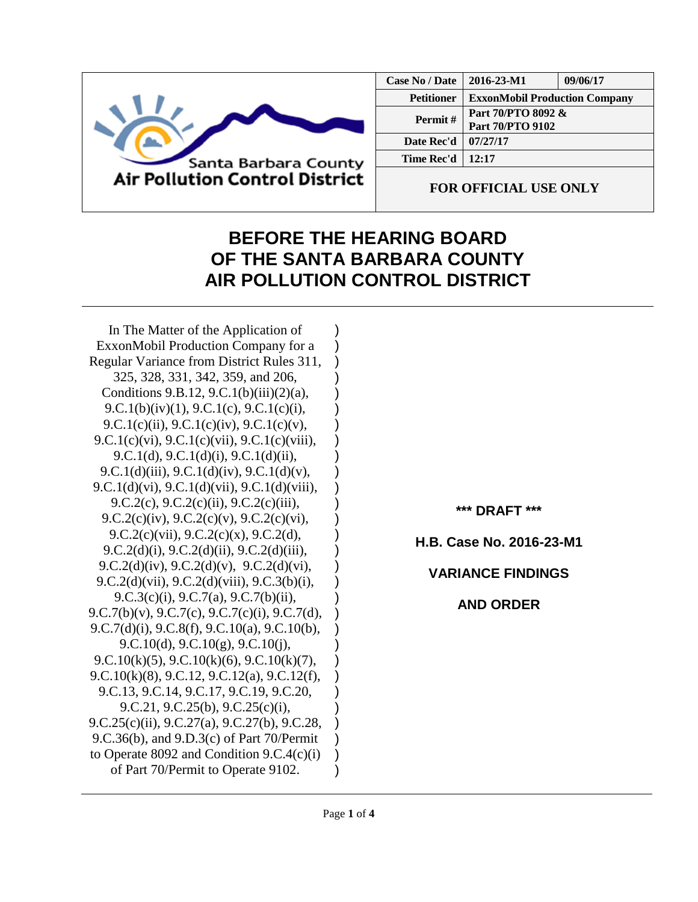

| Case No / Date    | 2016-23-M1                             | 09/06/17 |
|-------------------|----------------------------------------|----------|
| <b>Petitioner</b> | <b>ExxonMobil Production Company</b>   |          |
| Permit#           | Part 70/PTO 8092 &<br>Part 70/PTO 9102 |          |
| Date Rec'd        | 07/27/17                               |          |
| Time Rec'd        | 12:17                                  |          |
|                   |                                        |          |

**FOR OFFICIAL USE ONLY**

## **BEFORE THE HEARING BOARD OF THE SANTA BARBARA COUNTY AIR POLLUTION CONTROL DISTRICT**

) ) ) ) ) ) ) ) ) ) ) ) ) ) ) ) ) ) ) ) ) ) ) ) ) ) ) ) )

In The Matter of the Application of ExxonMobil Production Company for a Regular Variance from District Rules 311, 325, 328, 331, 342, 359, and 206, Conditions 9.B.12, 9.C.1(b)(iii)(2)(a), 9.C.1(b)(iv)(1), 9.C.1(c), 9.C.1(c)(i), 9.C.1(c)(ii), 9.C.1(c)(iv), 9.C.1(c)(v), 9.C.1(c)(vi), 9.C.1(c)(vii), 9.C.1(c)(viii), 9.C.1(d), 9.C.1(d)(i), 9.C.1(d)(ii), 9.C.1(d)(iii), 9.C.1(d)(iv), 9.C.1(d)(v), 9.C.1(d)(vi), 9.C.1(d)(vii), 9.C.1(d)(viii), 9.C.2(c), 9.C.2(c)(ii), 9.C.2(c)(iii), 9.C.2(c)(iv), 9.C.2(c)(v), 9.C.2(c)(vi), 9.C.2(c)(vii), 9.C.2(c)(x), 9.C.2(d), 9.C.2(d)(i), 9.C.2(d)(ii), 9.C.2(d)(iii), 9.C.2(d)(iv), 9.C.2(d)(v), 9.C.2(d)(vi), 9.C.2(d)(vii), 9.C.2(d)(viii), 9.C.3(b)(i), 9.C.3(c)(i), 9.C.7(a), 9.C.7(b)(ii), 9.C.7(b)(v), 9.C.7(c), 9.C.7(c)(i), 9.C.7(d), 9.C.7(d)(i), 9.C.8(f), 9.C.10(a), 9.C.10(b), 9.C.10(d), 9.C.10(g), 9.C.10(j), 9.C.10(k)(5), 9.C.10(k)(6), 9.C.10(k)(7), 9.C.10(k)(8), 9.C.12, 9.C.12(a), 9.C.12(f), 9.C.13, 9.C.14, 9.C.17, 9.C.19, 9.C.20, 9.C.21, 9.C.25(b), 9.C.25(c)(i), 9.C.25(c)(ii), 9.C.27(a), 9.C.27(b), 9.C.28, 9.C.36(b), and 9.D.3(c) of Part 70/Permit to Operate 8092 and Condition 9.C.4(c)(i) of Part 70/Permit to Operate 9102.

**\*\*\* DRAFT \*\*\***

**H.B. Case No. 2016-23-M1**

## **VARIANCE FINDINGS**

**AND ORDER**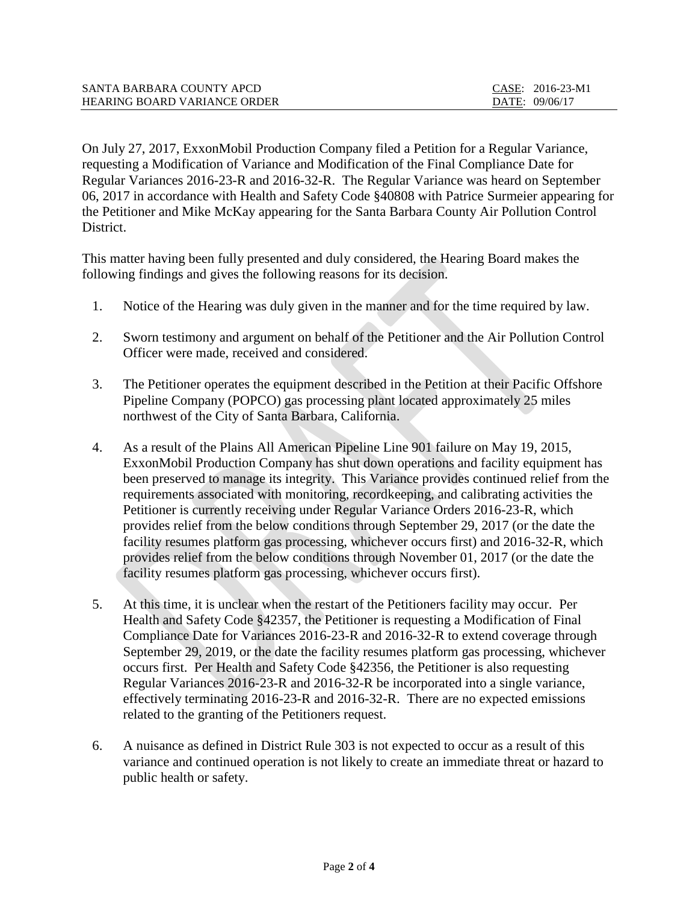| SANTA BARBARA COUNTY APCD           | CASE: 2016-23-M1 |
|-------------------------------------|------------------|
| <b>HEARING BOARD VARIANCE ORDER</b> | DATE: 09/06/17   |

On July 27, 2017, ExxonMobil Production Company filed a Petition for a Regular Variance, requesting a Modification of Variance and Modification of the Final Compliance Date for Regular Variances 2016-23-R and 2016-32-R. The Regular Variance was heard on September 06, 2017 in accordance with Health and Safety Code §40808 with Patrice Surmeier appearing for the Petitioner and Mike McKay appearing for the Santa Barbara County Air Pollution Control District.

This matter having been fully presented and duly considered, the Hearing Board makes the following findings and gives the following reasons for its decision.

- 1. Notice of the Hearing was duly given in the manner and for the time required by law.
- 2. Sworn testimony and argument on behalf of the Petitioner and the Air Pollution Control Officer were made, received and considered.
- 3. The Petitioner operates the equipment described in the Petition at their Pacific Offshore Pipeline Company (POPCO) gas processing plant located approximately 25 miles northwest of the City of Santa Barbara, California.
- 4. As a result of the Plains All American Pipeline Line 901 failure on May 19, 2015, ExxonMobil Production Company has shut down operations and facility equipment has been preserved to manage its integrity. This Variance provides continued relief from the requirements associated with monitoring, recordkeeping, and calibrating activities the Petitioner is currently receiving under Regular Variance Orders 2016-23-R, which provides relief from the below conditions through September 29, 2017 (or the date the facility resumes platform gas processing, whichever occurs first) and 2016-32-R, which provides relief from the below conditions through November 01, 2017 (or the date the facility resumes platform gas processing, whichever occurs first).
- 5. At this time, it is unclear when the restart of the Petitioners facility may occur. Per Health and Safety Code §42357, the Petitioner is requesting a Modification of Final Compliance Date for Variances 2016-23-R and 2016-32-R to extend coverage through September 29, 2019, or the date the facility resumes platform gas processing, whichever occurs first. Per Health and Safety Code §42356, the Petitioner is also requesting Regular Variances 2016-23-R and 2016-32-R be incorporated into a single variance, effectively terminating 2016-23-R and 2016-32-R. There are no expected emissions related to the granting of the Petitioners request.
- 6. A nuisance as defined in District Rule 303 is not expected to occur as a result of this variance and continued operation is not likely to create an immediate threat or hazard to public health or safety.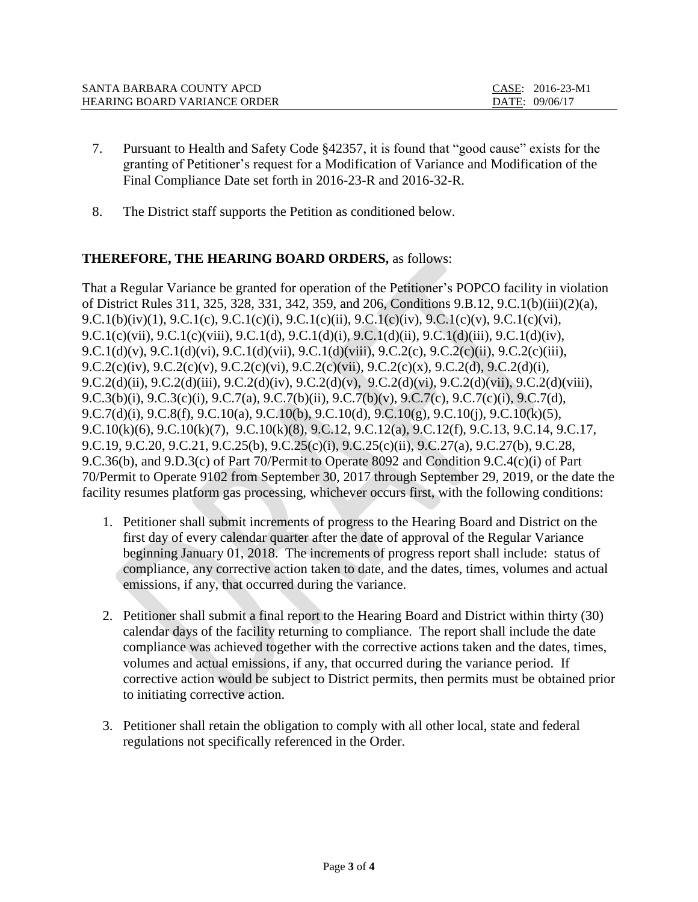| SANTA BARBARA COUNTY APCD           | $CASE: 2016-23-M1$ |
|-------------------------------------|--------------------|
| <b>HEARING BOARD VARIANCE ORDER</b> | DATE: 09/06/17     |

- 7. Pursuant to Health and Safety Code §42357, it is found that "good cause" exists for the granting of Petitioner's request for a Modification of Variance and Modification of the Final Compliance Date set forth in 2016-23-R and 2016-32-R.
- 8. The District staff supports the Petition as conditioned below.

## **THEREFORE, THE HEARING BOARD ORDERS,** as follows:

That a Regular Variance be granted for operation of the Petitioner's POPCO facility in violation of District Rules 311, 325, 328, 331, 342, 359, and 206, Conditions 9.B.12, 9.C.1(b)(iii)(2)(a), 9.C.1(b)(iv)(1), 9.C.1(c), 9.C.1(c)(i), 9.C.1(c)(ii), 9.C.1(c)(iv), 9.C.1(c)(v), 9.C.1(c)(vi), 9.C.1(c)(vii), 9.C.1(c)(viii), 9.C.1(d), 9.C.1(d)(i), 9.C.1(d)(ii), 9.C.1(d)(iii), 9.C.1(d)(iv), 9.C.1(d)(v), 9.C.1(d)(vi), 9.C.1(d)(vii), 9.C.1(d)(viii), 9.C.2(c), 9.C.2(c)(ii), 9.C.2(c)(iii), 9.C.2(c)(iv), 9.C.2(c)(v), 9.C.2(c)(vi), 9.C.2(c)(vii), 9.C.2(c)(x), 9.C.2(d), 9.C.2(d)(i), 9.C.2(d)(ii), 9.C.2(d)(iii), 9.C.2(d)(iv), 9.C.2(d)(v), 9.C.2(d)(vi), 9.C.2(d)(vii), 9.C.2(d)(viii), 9.C.3(b)(i), 9.C.3(c)(i), 9.C.7(a), 9.C.7(b)(ii), 9.C.7(b)(v), 9.C.7(c), 9.C.7(c)(i), 9.C.7(d), 9.C.7(d)(i), 9.C.8(f), 9.C.10(a), 9.C.10(b), 9.C.10(d), 9.C.10(g), 9.C.10(j), 9.C.10(k)(5), 9.C.10(k)(6), 9.C.10(k)(7), 9.C.10(k)(8), 9.C.12, 9.C.12(a), 9.C.12(f), 9.C.13, 9.C.14, 9.C.17, 9.C.19, 9.C.20, 9.C.21, 9.C.25(b), 9.C.25(c)(i), 9.C.25(c)(ii), 9.C.27(a), 9.C.27(b), 9.C.28, 9.C.36(b), and 9.D.3(c) of Part 70/Permit to Operate 8092 and Condition 9.C.4(c)(i) of Part 70/Permit to Operate 9102 from September 30, 2017 through September 29, 2019, or the date the facility resumes platform gas processing, whichever occurs first, with the following conditions:

- 1. Petitioner shall submit increments of progress to the Hearing Board and District on the first day of every calendar quarter after the date of approval of the Regular Variance beginning January 01, 2018. The increments of progress report shall include: status of compliance, any corrective action taken to date, and the dates, times, volumes and actual emissions, if any, that occurred during the variance.
- 2. Petitioner shall submit a final report to the Hearing Board and District within thirty (30) calendar days of the facility returning to compliance. The report shall include the date compliance was achieved together with the corrective actions taken and the dates, times, volumes and actual emissions, if any, that occurred during the variance period. If corrective action would be subject to District permits, then permits must be obtained prior to initiating corrective action.
- 3. Petitioner shall retain the obligation to comply with all other local, state and federal regulations not specifically referenced in the Order.